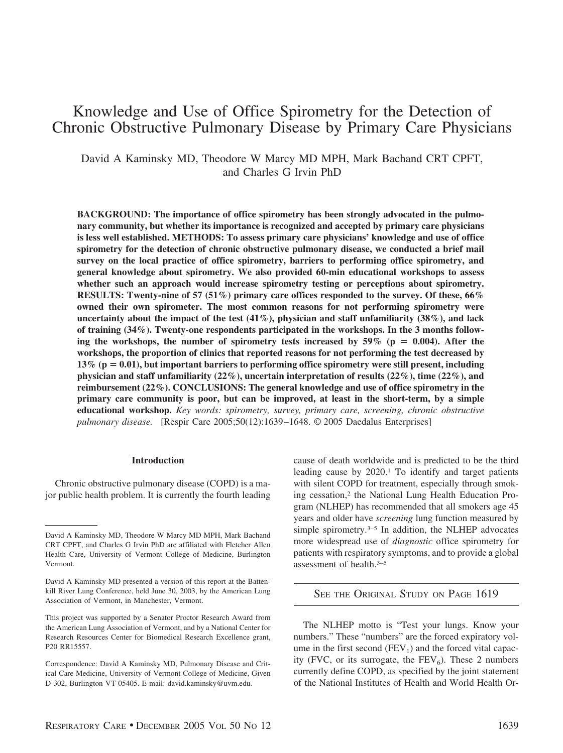# Knowledge and Use of Office Spirometry for the Detection of Chronic Obstructive Pulmonary Disease by Primary Care Physicians

David A Kaminsky MD, Theodore W Marcy MD MPH, Mark Bachand CRT CPFT, and Charles G Irvin PhD

**BACKGROUND: The importance of office spirometry has been strongly advocated in the pulmonary community, but whether its importance is recognized and accepted by primary care physicians is less well established. METHODS: To assess primary care physicians' knowledge and use of office spirometry for the detection of chronic obstructive pulmonary disease, we conducted a brief mail survey on the local practice of office spirometry, barriers to performing office spirometry, and general knowledge about spirometry. We also provided 60-min educational workshops to assess whether such an approach would increase spirometry testing or perceptions about spirometry. RESULTS: Twenty-nine of 57 (51%) primary care offices responded to the survey. Of these, 66% owned their own spirometer. The most common reasons for not performing spirometry were uncertainty about the impact of the test (41%), physician and staff unfamiliarity (38%), and lack of training (34%). Twenty-one respondents participated in the workshops. In the 3 months follow**ing the workshops, the number of spirometry tests increased by  $59\%$  ( $p = 0.004$ ). After the **workshops, the proportion of clinics that reported reasons for not performing the test decreased by 13% (p 0.01), but important barriers to performing office spirometry were still present, including physician and staff unfamiliarity (22%), uncertain interpretation of results (22%), time (22%), and reimbursement (22%). CONCLUSIONS: The general knowledge and use of office spirometry in the primary care community is poor, but can be improved, at least in the short-term, by a simple educational workshop.** *Key words: spirometry, survey, primary care, screening, chronic obstructive pulmonary disease.* [Respir Care 2005;50(12):1639 –1648. © 2005 Daedalus Enterprises]

#### **Introduction**

Chronic obstructive pulmonary disease (COPD) is a major public health problem. It is currently the fourth leading cause of death worldwide and is predicted to be the third leading cause by 2020.1 To identify and target patients with silent COPD for treatment, especially through smoking cessation,2 the National Lung Health Education Program (NLHEP) has recommended that all smokers age 45 years and older have *screening* lung function measured by simple spirometry.<sup>3–5</sup> In addition, the NLHEP advocates more widespread use of *diagnostic* office spirometry for patients with respiratory symptoms, and to provide a global assessment of health.3–5

SEE THE ORIGINAL STUDY ON PAGE 1619

The NLHEP motto is "Test your lungs. Know your numbers." These "numbers" are the forced expiratory volume in the first second  $(FEV_1)$  and the forced vital capacity (FVC, or its surrogate, the  $FEV_6$ ). These 2 numbers currently define COPD, as specified by the joint statement of the National Institutes of Health and World Health Or-

David A Kaminsky MD, Theodore W Marcy MD MPH, Mark Bachand CRT CPFT, and Charles G Irvin PhD are affiliated with Fletcher Allen Health Care, University of Vermont College of Medicine, Burlington Vermont.

David A Kaminsky MD presented a version of this report at the Battenkill River Lung Conference, held June 30, 2003, by the American Lung Association of Vermont, in Manchester, Vermont.

This project was supported by a Senator Proctor Research Award from the American Lung Association of Vermont, and by a National Center for Research Resources Center for Biomedical Research Excellence grant, P20 RR15557.

Correspondence: David A Kaminsky MD, Pulmonary Disease and Critical Care Medicine, University of Vermont College of Medicine, Given D-302, Burlington VT 05405. E-mail: david.kaminsky@uvm.edu.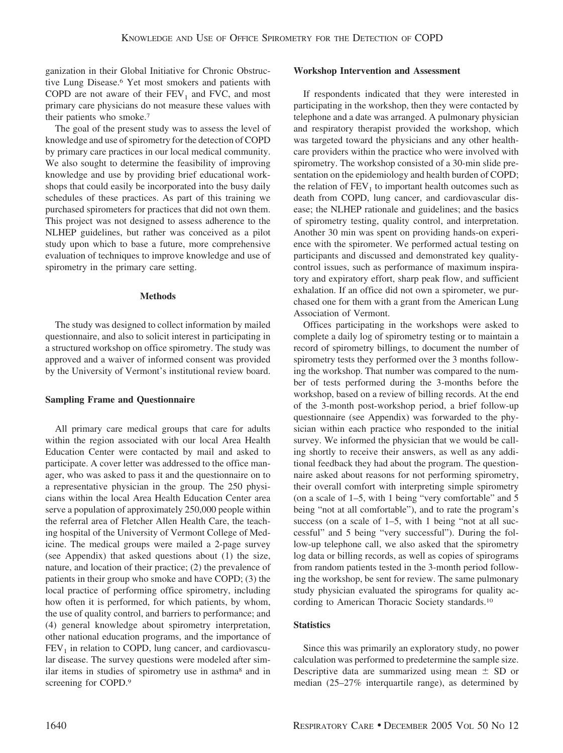ganization in their Global Initiative for Chronic Obstructive Lung Disease.6 Yet most smokers and patients with COPD are not aware of their  $FEV<sub>1</sub>$  and FVC, and most primary care physicians do not measure these values with their patients who smoke.7

The goal of the present study was to assess the level of knowledge and use of spirometry for the detection of COPD by primary care practices in our local medical community. We also sought to determine the feasibility of improving knowledge and use by providing brief educational workshops that could easily be incorporated into the busy daily schedules of these practices. As part of this training we purchased spirometers for practices that did not own them. This project was not designed to assess adherence to the NLHEP guidelines, but rather was conceived as a pilot study upon which to base a future, more comprehensive evaluation of techniques to improve knowledge and use of spirometry in the primary care setting.

#### **Methods**

The study was designed to collect information by mailed questionnaire, and also to solicit interest in participating in a structured workshop on office spirometry. The study was approved and a waiver of informed consent was provided by the University of Vermont's institutional review board.

#### **Sampling Frame and Questionnaire**

All primary care medical groups that care for adults within the region associated with our local Area Health Education Center were contacted by mail and asked to participate. A cover letter was addressed to the office manager, who was asked to pass it and the questionnaire on to a representative physician in the group. The 250 physicians within the local Area Health Education Center area serve a population of approximately 250,000 people within the referral area of Fletcher Allen Health Care, the teaching hospital of the University of Vermont College of Medicine. The medical groups were mailed a 2-page survey (see Appendix) that asked questions about (1) the size, nature, and location of their practice; (2) the prevalence of patients in their group who smoke and have COPD; (3) the local practice of performing office spirometry, including how often it is performed, for which patients, by whom, the use of quality control, and barriers to performance; and (4) general knowledge about spirometry interpretation, other national education programs, and the importance of  $FEV<sub>1</sub>$  in relation to COPD, lung cancer, and cardiovascular disease. The survey questions were modeled after similar items in studies of spirometry use in asthma8 and in screening for COPD.9

#### **Workshop Intervention and Assessment**

If respondents indicated that they were interested in participating in the workshop, then they were contacted by telephone and a date was arranged. A pulmonary physician and respiratory therapist provided the workshop, which was targeted toward the physicians and any other healthcare providers within the practice who were involved with spirometry. The workshop consisted of a 30-min slide presentation on the epidemiology and health burden of COPD; the relation of  $FEV<sub>1</sub>$  to important health outcomes such as death from COPD, lung cancer, and cardiovascular disease; the NLHEP rationale and guidelines; and the basics of spirometry testing, quality control, and interpretation. Another 30 min was spent on providing hands-on experience with the spirometer. We performed actual testing on participants and discussed and demonstrated key qualitycontrol issues, such as performance of maximum inspiratory and expiratory effort, sharp peak flow, and sufficient exhalation. If an office did not own a spirometer, we purchased one for them with a grant from the American Lung Association of Vermont.

Offices participating in the workshops were asked to complete a daily log of spirometry testing or to maintain a record of spirometry billings, to document the number of spirometry tests they performed over the 3 months following the workshop. That number was compared to the number of tests performed during the 3-months before the workshop, based on a review of billing records. At the end of the 3-month post-workshop period, a brief follow-up questionnaire (see Appendix) was forwarded to the physician within each practice who responded to the initial survey. We informed the physician that we would be calling shortly to receive their answers, as well as any additional feedback they had about the program. The questionnaire asked about reasons for not performing spirometry, their overall comfort with interpreting simple spirometry (on a scale of 1–5, with 1 being "very comfortable" and 5 being "not at all comfortable"), and to rate the program's success (on a scale of 1–5, with 1 being "not at all successful" and 5 being "very successful"). During the follow-up telephone call, we also asked that the spirometry log data or billing records, as well as copies of spirograms from random patients tested in the 3-month period following the workshop, be sent for review. The same pulmonary study physician evaluated the spirograms for quality according to American Thoracic Society standards.10

#### **Statistics**

Since this was primarily an exploratory study, no power calculation was performed to predetermine the sample size. Descriptive data are summarized using mean  $\pm$  SD or median (25–27% interquartile range), as determined by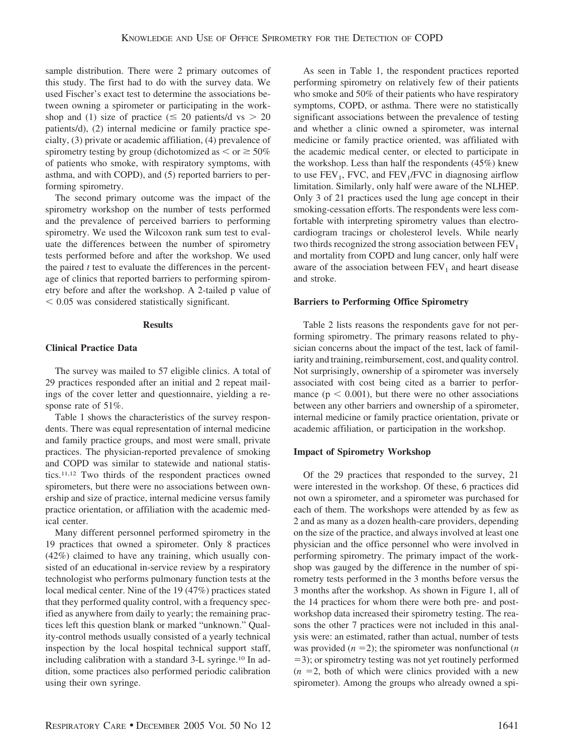sample distribution. There were 2 primary outcomes of this study. The first had to do with the survey data. We used Fischer's exact test to determine the associations between owning a spirometer or participating in the workshop and (1) size of practice ( $\leq$  20 patients/d vs  $>$  20 patients/d), (2) internal medicine or family practice specialty, (3) private or academic affiliation, (4) prevalence of spirometry testing by group (dichotomized as  $\leq$  or  $\geq$  50% of patients who smoke, with respiratory symptoms, with asthma, and with COPD), and (5) reported barriers to performing spirometry.

The second primary outcome was the impact of the spirometry workshop on the number of tests performed and the prevalence of perceived barriers to performing spirometry. We used the Wilcoxon rank sum test to evaluate the differences between the number of spirometry tests performed before and after the workshop. We used the paired *t* test to evaluate the differences in the percentage of clinics that reported barriers to performing spirometry before and after the workshop. A 2-tailed p value of  $< 0.05$  was considered statistically significant.

#### **Results**

#### **Clinical Practice Data**

The survey was mailed to 57 eligible clinics. A total of 29 practices responded after an initial and 2 repeat mailings of the cover letter and questionnaire, yielding a response rate of 51%.

Table 1 shows the characteristics of the survey respondents. There was equal representation of internal medicine and family practice groups, and most were small, private practices. The physician-reported prevalence of smoking and COPD was similar to statewide and national statistics.11,12 Two thirds of the respondent practices owned spirometers, but there were no associations between ownership and size of practice, internal medicine versus family practice orientation, or affiliation with the academic medical center.

Many different personnel performed spirometry in the 19 practices that owned a spirometer. Only 8 practices (42%) claimed to have any training, which usually consisted of an educational in-service review by a respiratory technologist who performs pulmonary function tests at the local medical center. Nine of the 19 (47%) practices stated that they performed quality control, with a frequency specified as anywhere from daily to yearly; the remaining practices left this question blank or marked "unknown." Quality-control methods usually consisted of a yearly technical inspection by the local hospital technical support staff, including calibration with a standard 3-L syringe.<sup>10</sup> In addition, some practices also performed periodic calibration using their own syringe.

As seen in Table 1, the respondent practices reported performing spirometry on relatively few of their patients who smoke and 50% of their patients who have respiratory symptoms, COPD, or asthma. There were no statistically significant associations between the prevalence of testing and whether a clinic owned a spirometer, was internal medicine or family practice oriented, was affiliated with the academic medical center, or elected to participate in the workshop. Less than half the respondents (45%) knew to use  $FEV<sub>1</sub>$ , FVC, and  $FEV<sub>1</sub>/FVC$  in diagnosing airflow limitation. Similarly, only half were aware of the NLHEP. Only 3 of 21 practices used the lung age concept in their smoking-cessation efforts. The respondents were less comfortable with interpreting spirometry values than electrocardiogram tracings or cholesterol levels. While nearly two thirds recognized the strong association between  $FEV<sub>1</sub>$ and mortality from COPD and lung cancer, only half were aware of the association between  $FEV<sub>1</sub>$  and heart disease and stroke.

#### **Barriers to Performing Office Spirometry**

Table 2 lists reasons the respondents gave for not performing spirometry. The primary reasons related to physician concerns about the impact of the test, lack of familiarity and training, reimbursement, cost, and quality control. Not surprisingly, ownership of a spirometer was inversely associated with cost being cited as a barrier to performance ( $p < 0.001$ ), but there were no other associations between any other barriers and ownership of a spirometer, internal medicine or family practice orientation, private or academic affiliation, or participation in the workshop.

#### **Impact of Spirometry Workshop**

Of the 29 practices that responded to the survey, 21 were interested in the workshop. Of these, 6 practices did not own a spirometer, and a spirometer was purchased for each of them. The workshops were attended by as few as 2 and as many as a dozen health-care providers, depending on the size of the practice, and always involved at least one physician and the office personnel who were involved in performing spirometry. The primary impact of the workshop was gauged by the difference in the number of spirometry tests performed in the 3 months before versus the 3 months after the workshop. As shown in Figure 1, all of the 14 practices for whom there were both pre- and postworkshop data increased their spirometry testing. The reasons the other 7 practices were not included in this analysis were: an estimated, rather than actual, number of tests was provided  $(n = 2)$ ; the spirometer was nonfunctional  $(n)$  $=$ 3); or spirometry testing was not yet routinely performed  $(n = 2, \text{ both of which were elinics provided with a new})$ spirometer). Among the groups who already owned a spi-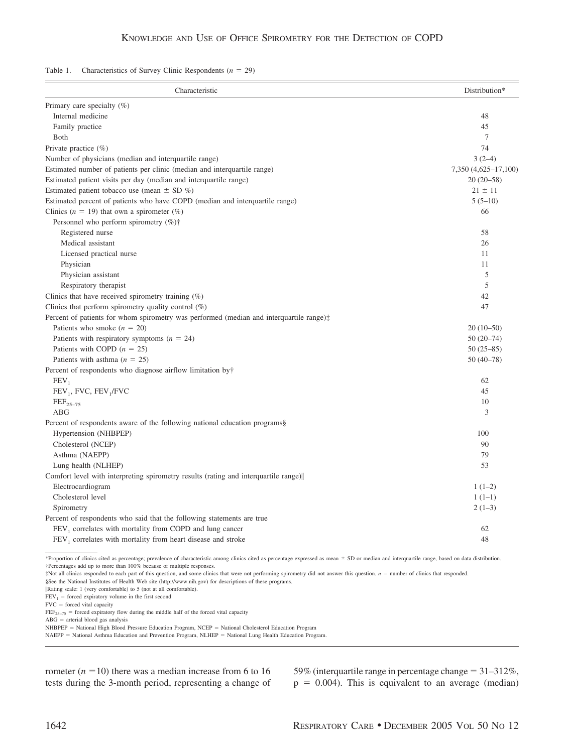| Table 1. | Characteristics of Survey Clinic Respondents ( $n = 29$ ) |  |  |  |  |  |  |  |
|----------|-----------------------------------------------------------|--|--|--|--|--|--|--|
|----------|-----------------------------------------------------------|--|--|--|--|--|--|--|

| Characteristic                                                                          | Distribution*        |
|-----------------------------------------------------------------------------------------|----------------------|
| Primary care specialty $(\%)$                                                           |                      |
| Internal medicine                                                                       | 48                   |
| Family practice                                                                         | 45                   |
| <b>B</b> oth                                                                            | $7\phantom{.0}$      |
| Private practice $(\%)$                                                                 | 74                   |
| Number of physicians (median and interquartile range)                                   | $3(2-4)$             |
| Estimated number of patients per clinic (median and interquartile range)                | 7,350 (4,625–17,100) |
| Estimated patient visits per day (median and interquartile range)                       | $20(20-58)$          |
| Estimated patient tobacco use (mean ± SD %)                                             | $21 \pm 11$          |
| Estimated percent of patients who have COPD (median and interquartile range)            | $5(5-10)$            |
| Clinics ( $n = 19$ ) that own a spirometer (%)                                          | 66                   |
| Personnel who perform spirometry $(\%)\dagger$                                          |                      |
| Registered nurse                                                                        | 58                   |
| Medical assistant                                                                       | 26                   |
| Licensed practical nurse                                                                | 11                   |
| Physician                                                                               | 11                   |
| Physician assistant                                                                     | 5                    |
| Respiratory therapist                                                                   | 5                    |
| Clinics that have received spirometry training $(\%)$                                   | 42                   |
| Clinics that perform spirometry quality control $(\%)$                                  | 47                   |
| Percent of patients for whom spirometry was performed (median and interquartile range): |                      |
| Patients who smoke $(n = 20)$                                                           | $20(10-50)$          |
| Patients with respiratory symptoms $(n = 24)$                                           | $50(20-74)$          |
| Patients with COPD $(n = 25)$                                                           | $50(25-85)$          |
| Patients with asthma $(n = 25)$                                                         | $50(40-78)$          |
| Percent of respondents who diagnose airflow limitation by†                              |                      |
| FEV <sub>1</sub>                                                                        | 62                   |
| $FEV1$ , FVC, $FEV1/FVC$                                                                | 45                   |
| $\text{FEF}_{25-75}$                                                                    | 10                   |
| <b>ABG</b>                                                                              | 3                    |
| Percent of respondents aware of the following national education programs §             |                      |
| Hypertension (NHBPEP)                                                                   | 100                  |
| Cholesterol (NCEP)                                                                      | 90                   |
| Asthma (NAEPP)                                                                          | 79                   |
| Lung health (NLHEP)                                                                     | 53                   |
| Comfort level with interpreting spirometry results (rating and interquartile range)     |                      |
| Electrocardiogram                                                                       | $1(1-2)$             |
| Cholesterol level                                                                       | $1(1-1)$             |
| Spirometry                                                                              | $2(1-3)$             |
| Percent of respondents who said that the following statements are true                  |                      |
| $FEV1$ correlates with mortality from COPD and lung cancer                              | 62                   |
| $FEV1$ correlates with mortality from heart disease and stroke                          | 48                   |
|                                                                                         |                      |

\*Proportion of clinics cited as percentage; prevalence of characteristic among clinics cited as percentage expressed as mean SD or median and interquartile range, based on data distribution. †Percentages add up to more than 100% because of multiple responses.

‡Not all clinics responded to each part of this question, and some clinics that were not performing spirometry did not answer this question. *n* = number of clinics that responded.

§See the National Institutes of Health Web site (http://www.nih.gov) for descriptions of these programs.

Rating scale: 1 (very comfortable) to 5 (not at all comfortable).

 $FEV<sub>1</sub>$  = forced expiratory volume in the first second

 $FVC = forced vital capacity$ 

 $FEF_{25-75}$  = forced expiratory flow during the middle half of the forced vital capacity

 $ABG =$  arterial blood gas analysis

NHBPEP = National High Blood Pressure Education Program, NCEP = National Cholesterol Education Program

NAEPP = National Asthma Education and Prevention Program, NLHEP = National Lung Health Education Program.

rometer  $(n = 10)$  there was a median increase from 6 to 16 tests during the 3-month period, representing a change of 59% (interquartile range in percentage change  $= 31-312\%$ ,  $p = 0.004$ ). This is equivalent to an average (median)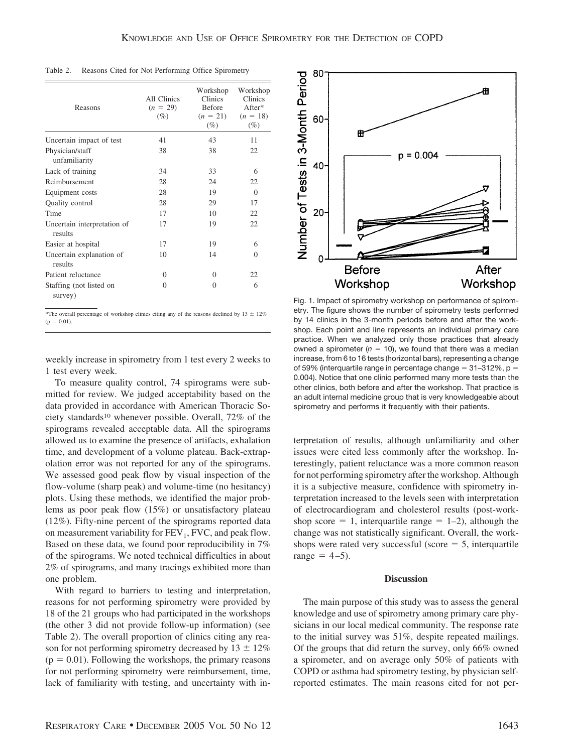| Reasons                                | All Clinics<br>$(n = 29)$<br>$(\%)$ | Workshop<br><b>Clinics</b><br><b>Before</b><br>$(n = 21)$<br>$(\%)$ | Workshop<br>Clinics<br>After*<br>$(n = 18)$<br>$(\%)$ |
|----------------------------------------|-------------------------------------|---------------------------------------------------------------------|-------------------------------------------------------|
| Uncertain impact of test               | 41                                  | 43                                                                  | 11                                                    |
| Physician/staff<br>unfamiliarity       | 38                                  | 38                                                                  | 22                                                    |
| Lack of training                       | 34                                  | 33                                                                  | 6                                                     |
| Reimbursement                          | 28                                  | 24                                                                  | 22                                                    |
| Equipment costs                        | 28                                  | 19                                                                  | $\Omega$                                              |
| Quality control                        | 28                                  | 29                                                                  | 17                                                    |
| Time                                   | 17                                  | 10                                                                  | 22                                                    |
| Uncertain interpretation of<br>results | 17                                  | 19                                                                  | 22                                                    |
| Easier at hospital                     | 17                                  | 19                                                                  | 6                                                     |

Table 2. Reasons Cited for Not Performing Office Spirometry

\*The overall percentage of workshop clinics citing any of the reasons declined by  $13 \pm 12\%$  $(p = 0.01)$ .

Patient reluctance 0 0 22

10 14 0

0 06

Uncertain explanation of

Staffing (not listed on survey)

results

weekly increase in spirometry from 1 test every 2 weeks to 1 test every week.

To measure quality control, 74 spirograms were submitted for review. We judged acceptability based on the data provided in accordance with American Thoracic Society standards10 whenever possible. Overall, 72% of the spirograms revealed acceptable data. All the spirograms allowed us to examine the presence of artifacts, exhalation time, and development of a volume plateau. Back-extrapolation error was not reported for any of the spirograms. We assessed good peak flow by visual inspection of the flow-volume (sharp peak) and volume-time (no hesitancy) plots. Using these methods, we identified the major problems as poor peak flow (15%) or unsatisfactory plateau (12%). Fifty-nine percent of the spirograms reported data on measurement variability for  $FEV<sub>1</sub>$ , FVC, and peak flow. Based on these data, we found poor reproducibility in 7% of the spirograms. We noted technical difficulties in about 2% of spirograms, and many tracings exhibited more than one problem.

With regard to barriers to testing and interpretation, reasons for not performing spirometry were provided by 18 of the 21 groups who had participated in the workshops (the other 3 did not provide follow-up information) (see Table 2). The overall proportion of clinics citing any reason for not performing spirometry decreased by  $13 \pm 12\%$  $(p = 0.01)$ . Following the workshops, the primary reasons for not performing spirometry were reimbursement, time, lack of familiarity with testing, and uncertainty with in-



Fig. 1. Impact of spirometry workshop on performance of spirometry. The figure shows the number of spirometry tests performed by 14 clinics in the 3-month periods before and after the workshop. Each point and line represents an individual primary care practice. When we analyzed only those practices that already owned a spirometer  $(n = 10)$ , we found that there was a median increase, from 6 to 16 tests (horizontal bars), representing a change of 59% (interquartile range in percentage change  $= 31-312$ %, p  $=$ 0.004). Notice that one clinic performed many more tests than the other clinics, both before and after the workshop. That practice is an adult internal medicine group that is very knowledgeable about spirometry and performs it frequently with their patients.

terpretation of results, although unfamiliarity and other issues were cited less commonly after the workshop. Interestingly, patient reluctance was a more common reason for not performing spirometry after the workshop. Although it is a subjective measure, confidence with spirometry interpretation increased to the levels seen with interpretation of electrocardiogram and cholesterol results (post-workshop score  $= 1$ , interquartile range  $= 1-2$ ), although the change was not statistically significant. Overall, the workshops were rated very successful (score  $=$  5, interquartile range  $= 4-5$ ).

#### **Discussion**

The main purpose of this study was to assess the general knowledge and use of spirometry among primary care physicians in our local medical community. The response rate to the initial survey was 51%, despite repeated mailings. Of the groups that did return the survey, only 66% owned a spirometer, and on average only 50% of patients with COPD or asthma had spirometry testing, by physician selfreported estimates. The main reasons cited for not per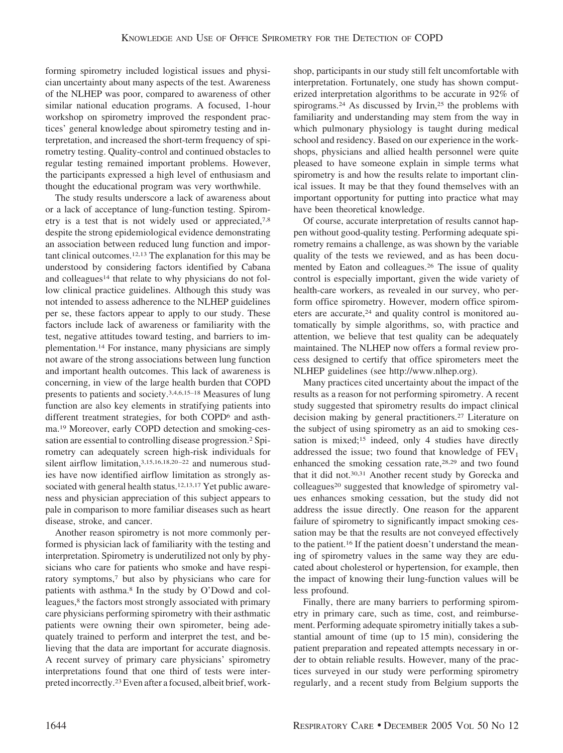forming spirometry included logistical issues and physician uncertainty about many aspects of the test. Awareness of the NLHEP was poor, compared to awareness of other similar national education programs. A focused, 1-hour workshop on spirometry improved the respondent practices' general knowledge about spirometry testing and interpretation, and increased the short-term frequency of spirometry testing. Quality-control and continued obstacles to regular testing remained important problems. However, the participants expressed a high level of enthusiasm and thought the educational program was very worthwhile.

The study results underscore a lack of awareness about or a lack of acceptance of lung-function testing. Spirometry is a test that is not widely used or appreciated,7,8 despite the strong epidemiological evidence demonstrating an association between reduced lung function and important clinical outcomes.12,13 The explanation for this may be understood by considering factors identified by Cabana and colleagues<sup>14</sup> that relate to why physicians do not follow clinical practice guidelines. Although this study was not intended to assess adherence to the NLHEP guidelines per se, these factors appear to apply to our study. These factors include lack of awareness or familiarity with the test, negative attitudes toward testing, and barriers to implementation.14 For instance, many physicians are simply not aware of the strong associations between lung function and important health outcomes. This lack of awareness is concerning, in view of the large health burden that COPD presents to patients and society.3,4,6,15–18 Measures of lung function are also key elements in stratifying patients into different treatment strategies, for both COPD<sup>6</sup> and asthma.19 Moreover, early COPD detection and smoking-cessation are essential to controlling disease progression.2 Spirometry can adequately screen high-risk individuals for silent airflow limitation,<sup>3,15,16,18,20-22</sup> and numerous studies have now identified airflow limitation as strongly associated with general health status.<sup>12,13,17</sup> Yet public awareness and physician appreciation of this subject appears to pale in comparison to more familiar diseases such as heart disease, stroke, and cancer.

Another reason spirometry is not more commonly performed is physician lack of familiarity with the testing and interpretation. Spirometry is underutilized not only by physicians who care for patients who smoke and have respiratory symptoms,7 but also by physicians who care for patients with asthma.8 In the study by O'Dowd and colleagues,<sup>8</sup> the factors most strongly associated with primary care physicians performing spirometry with their asthmatic patients were owning their own spirometer, being adequately trained to perform and interpret the test, and believing that the data are important for accurate diagnosis. A recent survey of primary care physicians' spirometry interpretations found that one third of tests were interpreted incorrectly.23Even after a focused, albeit brief, workshop, participants in our study still felt uncomfortable with interpretation. Fortunately, one study has shown computerized interpretation algorithms to be accurate in 92% of spirograms.24 As discussed by Irvin,25 the problems with familiarity and understanding may stem from the way in which pulmonary physiology is taught during medical school and residency. Based on our experience in the workshops, physicians and allied health personnel were quite pleased to have someone explain in simple terms what spirometry is and how the results relate to important clinical issues. It may be that they found themselves with an important opportunity for putting into practice what may have been theoretical knowledge.

Of course, accurate interpretation of results cannot happen without good-quality testing. Performing adequate spirometry remains a challenge, as was shown by the variable quality of the tests we reviewed, and as has been documented by Eaton and colleagues.26 The issue of quality control is especially important, given the wide variety of health-care workers, as revealed in our survey, who perform office spirometry. However, modern office spirometers are accurate,<sup>24</sup> and quality control is monitored automatically by simple algorithms, so, with practice and attention, we believe that test quality can be adequately maintained. The NLHEP now offers a formal review process designed to certify that office spirometers meet the NLHEP guidelines (see http://www.nlhep.org).

Many practices cited uncertainty about the impact of the results as a reason for not performing spirometry. A recent study suggested that spirometry results do impact clinical decision making by general practitioners.27 Literature on the subject of using spirometry as an aid to smoking cessation is mixed;<sup>15</sup> indeed, only 4 studies have directly addressed the issue; two found that knowledge of  $FEV<sub>1</sub>$ enhanced the smoking cessation rate,28,29 and two found that it did not.30,31 Another recent study by Gorecka and colleagues<sup>20</sup> suggested that knowledge of spirometry values enhances smoking cessation, but the study did not address the issue directly. One reason for the apparent failure of spirometry to significantly impact smoking cessation may be that the results are not conveyed effectively to the patient.16 If the patient doesn't understand the meaning of spirometry values in the same way they are educated about cholesterol or hypertension, for example, then the impact of knowing their lung-function values will be less profound.

Finally, there are many barriers to performing spirometry in primary care, such as time, cost, and reimbursement. Performing adequate spirometry initially takes a substantial amount of time (up to 15 min), considering the patient preparation and repeated attempts necessary in order to obtain reliable results. However, many of the practices surveyed in our study were performing spirometry regularly, and a recent study from Belgium supports the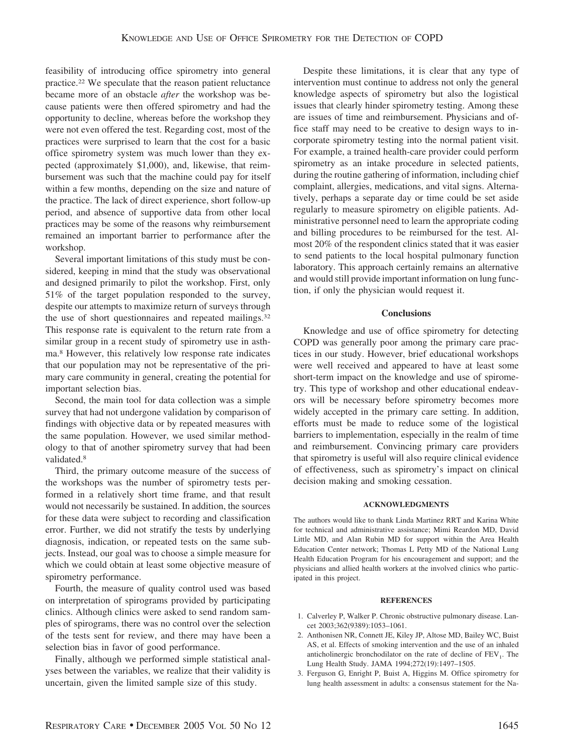feasibility of introducing office spirometry into general practice.22 We speculate that the reason patient reluctance became more of an obstacle *after* the workshop was because patients were then offered spirometry and had the opportunity to decline, whereas before the workshop they were not even offered the test. Regarding cost, most of the practices were surprised to learn that the cost for a basic office spirometry system was much lower than they expected (approximately \$1,000), and, likewise, that reimbursement was such that the machine could pay for itself within a few months, depending on the size and nature of the practice. The lack of direct experience, short follow-up period, and absence of supportive data from other local practices may be some of the reasons why reimbursement remained an important barrier to performance after the workshop.

Several important limitations of this study must be considered, keeping in mind that the study was observational and designed primarily to pilot the workshop. First, only 51% of the target population responded to the survey, despite our attempts to maximize return of surveys through the use of short questionnaires and repeated mailings.<sup>32</sup> This response rate is equivalent to the return rate from a similar group in a recent study of spirometry use in asthma.8 However, this relatively low response rate indicates that our population may not be representative of the primary care community in general, creating the potential for important selection bias.

Second, the main tool for data collection was a simple survey that had not undergone validation by comparison of findings with objective data or by repeated measures with the same population. However, we used similar methodology to that of another spirometry survey that had been validated.<sup>8</sup>

Third, the primary outcome measure of the success of the workshops was the number of spirometry tests performed in a relatively short time frame, and that result would not necessarily be sustained. In addition, the sources for these data were subject to recording and classification error. Further, we did not stratify the tests by underlying diagnosis, indication, or repeated tests on the same subjects. Instead, our goal was to choose a simple measure for which we could obtain at least some objective measure of spirometry performance.

Fourth, the measure of quality control used was based on interpretation of spirograms provided by participating clinics. Although clinics were asked to send random samples of spirograms, there was no control over the selection of the tests sent for review, and there may have been a selection bias in favor of good performance.

Finally, although we performed simple statistical analyses between the variables, we realize that their validity is uncertain, given the limited sample size of this study.

Despite these limitations, it is clear that any type of intervention must continue to address not only the general knowledge aspects of spirometry but also the logistical issues that clearly hinder spirometry testing. Among these are issues of time and reimbursement. Physicians and office staff may need to be creative to design ways to incorporate spirometry testing into the normal patient visit. For example, a trained health-care provider could perform spirometry as an intake procedure in selected patients, during the routine gathering of information, including chief complaint, allergies, medications, and vital signs. Alternatively, perhaps a separate day or time could be set aside regularly to measure spirometry on eligible patients. Administrative personnel need to learn the appropriate coding and billing procedures to be reimbursed for the test. Almost 20% of the respondent clinics stated that it was easier to send patients to the local hospital pulmonary function laboratory. This approach certainly remains an alternative and would still provide important information on lung function, if only the physician would request it.

#### **Conclusions**

Knowledge and use of office spirometry for detecting COPD was generally poor among the primary care practices in our study. However, brief educational workshops were well received and appeared to have at least some short-term impact on the knowledge and use of spirometry. This type of workshop and other educational endeavors will be necessary before spirometry becomes more widely accepted in the primary care setting. In addition, efforts must be made to reduce some of the logistical barriers to implementation, especially in the realm of time and reimbursement. Convincing primary care providers that spirometry is useful will also require clinical evidence of effectiveness, such as spirometry's impact on clinical decision making and smoking cessation.

#### **ACKNOWLEDGMENTS**

The authors would like to thank Linda Martinez RRT and Karina White for technical and administrative assistance; Mimi Reardon MD, David Little MD, and Alan Rubin MD for support within the Area Health Education Center network; Thomas L Petty MD of the National Lung Health Education Program for his encouragement and support; and the physicians and allied health workers at the involved clinics who participated in this project.

#### **REFERENCES**

- 1. Calverley P, Walker P. Chronic obstructive pulmonary disease. Lancet 2003;362(9389):1053–1061.
- 2. Anthonisen NR, Connett JE, Kiley JP, Altose MD, Bailey WC, Buist AS, et al. Effects of smoking intervention and the use of an inhaled anticholinergic bronchodilator on the rate of decline of  $FEV<sub>1</sub>$ . The Lung Health Study. JAMA 1994;272(19):1497–1505.
- 3. Ferguson G, Enright P, Buist A, Higgins M. Office spirometry for lung health assessment in adults: a consensus statement for the Na-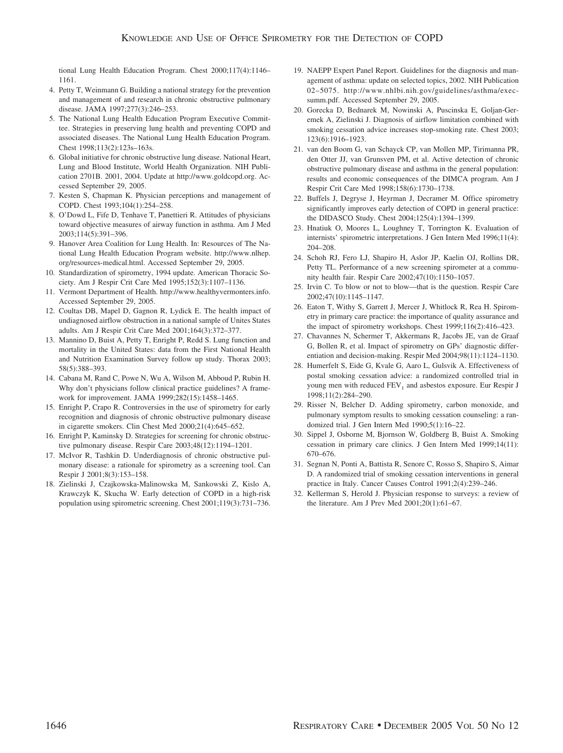tional Lung Health Education Program. Chest 2000;117(4):1146– 1161.

- 4. Petty T, Weinmann G. Building a national strategy for the prevention and management of and research in chronic obstructive pulmonary disease. JAMA 1997;277(3):246–253.
- 5. The National Lung Health Education Program Executive Committee. Strategies in preserving lung health and preventing COPD and associated diseases. The National Lung Health Education Program. Chest 1998;113(2):123s–163s.
- 6. Global initiative for chronic obstructive lung disease. National Heart, Lung and Blood Institute, World Health Organization. NIH Publication 2701B. 2001, 2004. Update at http://www.goldcopd.org. Accessed September 29, 2005.
- 7. Kesten S, Chapman K. Physician perceptions and management of COPD. Chest 1993;104(1):254–258.
- 8. O'Dowd L, Fife D, Tenhave T, Panettieri R. Attitudes of physicians toward objective measures of airway function in asthma. Am J Med 2003;114(5):391–396.
- 9. Hanover Area Coalition for Lung Health. In: Resources of The National Lung Health Education Program website. http://www.nlhep. org/resources-medical.html. Accessed September 29, 2005.
- 10. Standardization of spirometry, 1994 update. American Thoracic Society. Am J Respir Crit Care Med 1995;152(3):1107–1136.
- 11. Vermont Department of Health. http://www.healthyvermonters.info. Accessed September 29, 2005.
- 12. Coultas DB, Mapel D, Gagnon R, Lydick E. The health impact of undiagnosed airflow obstruction in a national sample of Unites States adults. Am J Respir Crit Care Med 2001;164(3):372–377.
- 13. Mannino D, Buist A, Petty T, Enright P, Redd S. Lung function and mortality in the United States: data from the First National Health and Nutrition Examination Survey follow up study. Thorax 2003; 58(5):388–393.
- 14. Cabana M, Rand C, Powe N, Wu A, Wilson M, Abboud P, Rubin H. Why don't physicians follow clinical practice guidelines? A framework for improvement. JAMA 1999;282(15):1458–1465.
- 15. Enright P, Crapo R. Controversies in the use of spirometry for early recognition and diagnosis of chronic obstructive pulmonary disease in cigarette smokers. Clin Chest Med 2000;21(4):645–652.
- 16. Enright P, Kaminsky D. Strategies for screening for chronic obstructive pulmonary disease. Respir Care 2003;48(12):1194–1201.
- 17. McIvor R, Tashkin D. Underdiagnosis of chronic obstructive pulmonary disease: a rationale for spirometry as a screening tool. Can Respir J 2001;8(3):153–158.
- 18. Zielinski J, Czajkowska-Malinowska M, Sankowski Z, Kislo A, Krawczyk K, Skucha W. Early detection of COPD in a high-risk population using spirometric screening. Chest 2001;119(3):731–736.
- 19. NAEPP Expert Panel Report. Guidelines for the diagnosis and management of asthma: update on selected topics, 2002. NIH Publication 02–5075. http://www.nhlbi.nih.gov/guidelines/asthma/execsumm.pdf. Accessed September 29, 2005.
- 20. Gorecka D, Bednarek M, Nowinski A, Puscinska E, Goljan-Geremek A, Zielinski J. Diagnosis of airflow limitation combined with smoking cessation advice increases stop-smoking rate. Chest 2003; 123(6):1916–1923.
- 21. van den Boom G, van Schayck CP, van Mollen MP, Tirimanna PR, den Otter JJ, van Grunsven PM, et al. Active detection of chronic obstructive pulmonary disease and asthma in the general population: results and economic consequences of the DIMCA program. Am J Respir Crit Care Med 1998;158(6):1730–1738.
- 22. Buffels J, Degryse J, Heyrman J, Decramer M. Office spirometry significantly improves early detection of COPD in general practice: the DIDASCO Study. Chest 2004;125(4):1394–1399.
- 23. Hnatiuk O, Moores L, Loughney T, Torrington K. Evaluation of internists' spirometric interpretations. J Gen Intern Med 1996;11(4): 204–208.
- 24. Schoh RJ, Fero LJ, Shapiro H, Aslor JP, Kaelin OJ, Rollins DR, Petty TL. Performance of a new screening spirometer at a community health fair. Respir Care 2002;47(10):1150–1057.
- 25. Irvin C. To blow or not to blow—that is the question. Respir Care 2002;47(10):1145–1147.
- 26. Eaton T, Withy S, Garrett J, Mercer J, Whitlock R, Rea H. Spirometry in primary care practice: the importance of quality assurance and the impact of spirometry workshops. Chest 1999;116(2):416–423.
- 27. Chavannes N, Schermer T, Akkermans R, Jacobs JE, van de Graaf G, Bollen R, et al. Impact of spirometry on GPs' diagnostic differentiation and decision-making. Respir Med 2004;98(11):1124–1130.
- 28. Humerfelt S, Eide G, Kvale G, Aaro L, Gulsvik A. Effectiveness of postal smoking cessation advice: a randomized controlled trial in young men with reduced  $FEV<sub>1</sub>$  and asbestos exposure. Eur Respir J 1998;11(2):284–290.
- 29. Risser N, Belcher D. Adding spirometry, carbon monoxide, and pulmonary symptom results to smoking cessation counseling: a randomized trial. J Gen Intern Med 1990;5(1):16–22.
- 30. Sippel J, Osborne M, Bjornson W, Goldberg B, Buist A. Smoking cessation in primary care clinics. J Gen Intern Med 1999;14(11): 670–676.
- 31. Segnan N, Ponti A, Battista R, Senore C, Rosso S, Shapiro S, Aimar D. A randomized trial of smoking cessation interventions in general practice in Italy. Cancer Causes Control 1991;2(4):239–246.
- 32. Kellerman S, Herold J. Physician response to surveys: a review of the literature. Am J Prev Med 2001;20(1):61–67.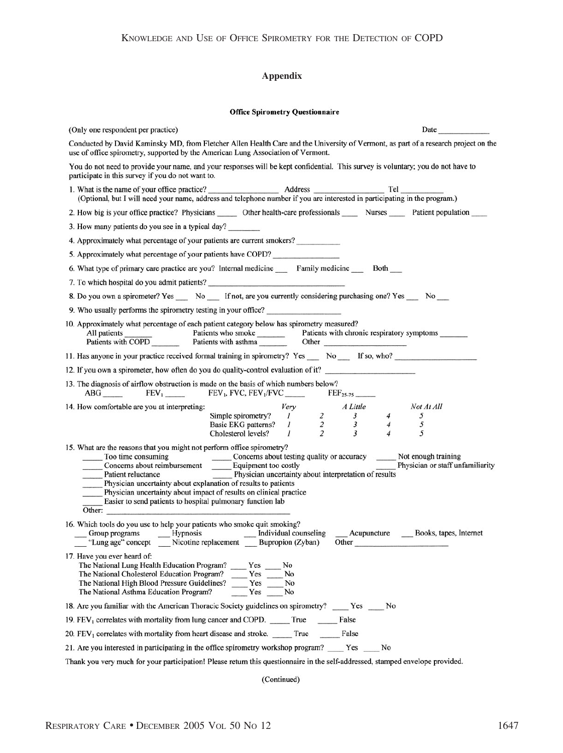## **Appendix**

### **Office Spirometry Questionnaire**

| (Only one respondent per practice)                                                                                                                                                                                                                                                                                                                                                                                                                                                                                                                                                                   | <b>Date</b>                                               |
|------------------------------------------------------------------------------------------------------------------------------------------------------------------------------------------------------------------------------------------------------------------------------------------------------------------------------------------------------------------------------------------------------------------------------------------------------------------------------------------------------------------------------------------------------------------------------------------------------|-----------------------------------------------------------|
| Conducted by David Kaminsky MD, from Fletcher Allen Health Care and the University of Vermont, as part of a research project on the<br>use of office spirometry, supported by the American Lung Association of Vermont.                                                                                                                                                                                                                                                                                                                                                                              |                                                           |
| You do not need to provide your name, and your responses will be kept confidential. This survey is voluntary; you do not have to<br>participate in this survey if you do not want to.                                                                                                                                                                                                                                                                                                                                                                                                                |                                                           |
| 1. What is the name of your office practice? Address Address Tel<br>(Optional, but I will need your name, address and telephone number if you are interested in participating in the program.)                                                                                                                                                                                                                                                                                                                                                                                                       |                                                           |
| 2. How big is your office practice? Physicians Other health-care professionals Nurses Patient population 2.                                                                                                                                                                                                                                                                                                                                                                                                                                                                                          |                                                           |
| 3. How many patients do you see in a typical day?                                                                                                                                                                                                                                                                                                                                                                                                                                                                                                                                                    |                                                           |
| 4. Approximately what percentage of your patients are current smokers?                                                                                                                                                                                                                                                                                                                                                                                                                                                                                                                               |                                                           |
| 5. Approximately what percentage of your patients have COPD?                                                                                                                                                                                                                                                                                                                                                                                                                                                                                                                                         |                                                           |
| 6. What type of primary care practice are you? Internal medicine Family medicine Both ___                                                                                                                                                                                                                                                                                                                                                                                                                                                                                                            |                                                           |
|                                                                                                                                                                                                                                                                                                                                                                                                                                                                                                                                                                                                      |                                                           |
| 8. Do you own a spirometer? Yes _____ No _____ If not, are you currently considering purchasing one? Yes _____ No                                                                                                                                                                                                                                                                                                                                                                                                                                                                                    |                                                           |
| 9. Who usually performs the spirometry testing in your office?                                                                                                                                                                                                                                                                                                                                                                                                                                                                                                                                       |                                                           |
| 10. Approximately what percentage of each patient category below has spirometry measured?<br>All patients<br>Patients with COPD<br>Patients with asthma  Patients with COPD<br>Patients with asthma  Patients with asthma<br>Other                                                                                                                                                                                                                                                                                                                                                                   |                                                           |
| 11. Has anyone in your practice received formal training in spirometry? Yes _____ No _____ If so, who?                                                                                                                                                                                                                                                                                                                                                                                                                                                                                               |                                                           |
| 12. If you own a spirometer, how often do you do quality-control evaluation of it?                                                                                                                                                                                                                                                                                                                                                                                                                                                                                                                   |                                                           |
| 13. The diagnosis of airflow obstruction is made on the basis of which numbers below?<br>$ABG$ FEV <sub>1</sub> FEV <sub>1</sub> , FVC, FEV <sub>1</sub> /FVC FEV <sub>1</sub> /FVC FEF <sub>25-75</sub>                                                                                                                                                                                                                                                                                                                                                                                             |                                                           |
| 14. How comfortable are you at interpreting:<br>FEV <sub>1</sub> , 1 1 2, 1<br>Simple spirometry? $\begin{array}{ccccc}\nI & 2 & 3 \\ 1 & 2 & 3 \\ \end{array}$<br>Basic EKG patterns? $\begin{array}{ccccc}\nI & 2 & 3 \\ I & 2 & 3 \\ \end{array}$                                                                                                                                                                                                                                                                                                                                                 | Not At All<br>5<br>4<br>$\sqrt{2}$<br>$\overline{4}$<br>5 |
| 15. What are the reasons that you might not perform office spirometry?<br>Too time consuming<br>Concerns about testing quality or accuracy Moter nough training<br>Concerns about reimbursement <u>equipment</u> too costly<br>Retired about the physician or staff unit<br>______ Too time consuming<br>Physician uncertainty about interpretation of results<br>Patient reluctance<br>Physician uncertainty about explanation of results to patients<br>Physician uncertainty about impact of results on clinical practice<br>Easier to send patients to hospital pulmonary function lab<br>Other: | Physician or staff unfamiliarity                          |
| 16. Which tools do you use to help your patients who smoke quit smoking?<br>Group programs Hypnosis Individual counseling<br>"Lung age" concept Nicotine replacement Bupropion (Zyban)<br>Other                                                                                                                                                                                                                                                                                                                                                                                                      | Acupuncture Books, tapes, Internet                        |
| 17. Have you ever heard of:<br>The National Lung Health Education Program? Yes<br>No<br>The National Cholesterol Education Program?<br>Yes<br>No<br>The National High Blood Pressure Guidelines?<br>Yes<br>No<br>The National Asthma Education Program?<br>Yes<br>No                                                                                                                                                                                                                                                                                                                                 |                                                           |
| 18. Are you familiar with the American Thoracic Society guidelines on spirometry? _____ Yes _____ No                                                                                                                                                                                                                                                                                                                                                                                                                                                                                                 |                                                           |
| 19. $FEV1$ correlates with mortality from lung cancer and COPD. ______ True<br>False                                                                                                                                                                                                                                                                                                                                                                                                                                                                                                                 |                                                           |
| 20. FEV <sub>1</sub> correlates with mortality from heart disease and stroke. True<br>False                                                                                                                                                                                                                                                                                                                                                                                                                                                                                                          |                                                           |
| 21. Are you interested in participating in the office spirometry workshop program? _____ Yes _____ No                                                                                                                                                                                                                                                                                                                                                                                                                                                                                                |                                                           |
| Thank you very much for your participation! Please return this questionnaire in the self-addressed, stamped envelope provided.                                                                                                                                                                                                                                                                                                                                                                                                                                                                       |                                                           |

(Continued)